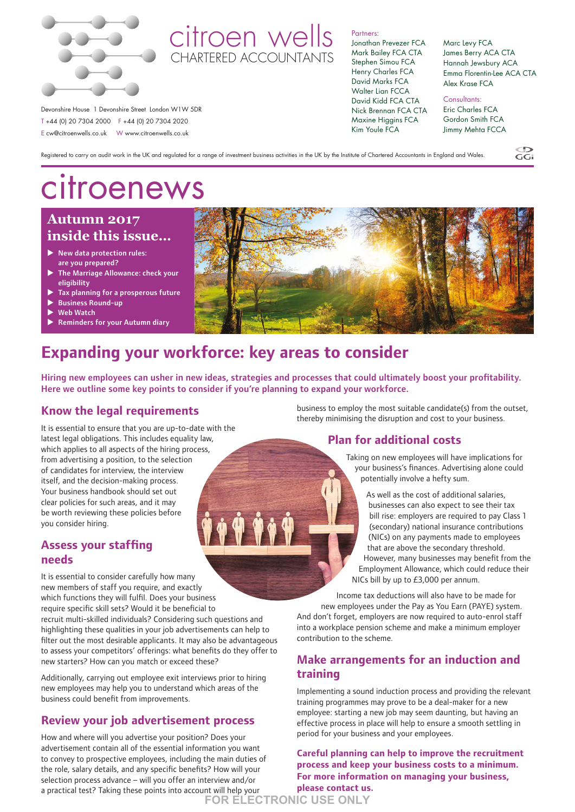

# citroen wells CHARTERED ACCOUNTANTS

#### Partners:

Jonathan Prevezer FCA Mark Bailey FCA CTA Stephen Simou FCA Henry Charles FCA David Marks FCA Walter Lian FCCA David Kidd FCA CTA Nick Brennan FCA CTA Maxine Higgins FCA Kim Youle FCA

Marc Levy FCA James Berry ACA CTA Hannah Jewsbury ACA Emma Florentin-Lee ACA CTA Alex Krase FCA

 $\widetilde{GC}$ 

Consultants: Eric Charles FCA Gordon Smith FCA Jimmy Mehta FCCA

Registered to carry on audit work in the UK and regulated for a range of investment business activities in the UK by the Institute of Chartered Accountants in England and Wales.

# citroenews

Devonshire House 1 Devonshire Street London W1W 5DR T +44 (0) 20 7304 2000 F +44 (0) 20 7304 2020 E cw@citroenwells.co.uk W www.citroenwells.co.uk

# **Autumn 2017 inside this issue…**

- $\blacktriangleright$  New data protection rules: are you prepared?
- $\blacktriangleright$  The Marriage Allowance: check your eligibility
- Tax planning for a prosperous future
- **Business Round-up**
- Web Watch
- **Reminders for your Autumn diary**



# **Expanding your workforce: key areas to consider**

Hiring new employees can usher in new ideas, strategies and processes that could ultimately boost your profitability. Here we outline some key points to consider if you're planning to expand your workforce.

# **Know the legal requirements**

It is essential to ensure that you are up-to-date with the latest legal obligations. This includes equality law, which applies to all aspects of the hiring process, from advertising a position, to the selection of candidates for interview, the interview itself, and the decision-making process. Your business handbook should set out clear policies for such areas, and it may be worth reviewing these policies before you consider hiring.

## **Assess your staffing needs**

It is essential to consider carefully how many new members of staff you require, and exactly which functions they will fulfil. Does your business require specific skill sets? Would it be beneficial to recruit multi-skilled individuals? Considering such questions and highlighting these qualities in your job advertisements can help to filter out the most desirable applicants. It may also be advantageous to assess your competitors' offerings: what benefits do they offer to new starters? How can you match or exceed these?

Additionally, carrying out employee exit interviews prior to hiring new employees may help you to understand which areas of the business could benefit from improvements.

# **Review your job advertisement process**

How and where will you advertise your position? Does your advertisement contain all of the essential information you want to convey to prospective employees, including the main duties of the role, salary details, and any specific benefits? How will your selection process advance – will you offer an interview and/or a practical test? Taking these points into account will help your **FOR ELECTRONIC USE ONLY**

business to employ the most suitable candidate(s) from the outset, thereby minimising the disruption and cost to your business.

# **Plan for additional costs**

Taking on new employees will have implications for your business's finances. Advertising alone could potentially involve a hefty sum.

As well as the cost of additional salaries, businesses can also expect to see their tax bill rise: employers are required to pay Class 1 (secondary) national insurance contributions (NICs) on any payments made to employees that are above the secondary threshold. However, many businesses may benefit from the Employment Allowance, which could reduce their NICs bill by up to £3,000 per annum.

Income tax deductions will also have to be made for new employees under the Pay as You Earn (PAYE) system. And don't forget, employers are now required to auto-enrol staff into a workplace pension scheme and make a minimum employer contribution to the scheme.

## **Make arrangements for an induction and training**

Implementing a sound induction process and providing the relevant training programmes may prove to be a deal-maker for a new employee: starting a new job may seem daunting, but having an effective process in place will help to ensure a smooth settling in period for your business and your employees.

**Careful planning can help to improve the recruitment process and keep your business costs to a minimum. For more information on managing your business, please contact us.**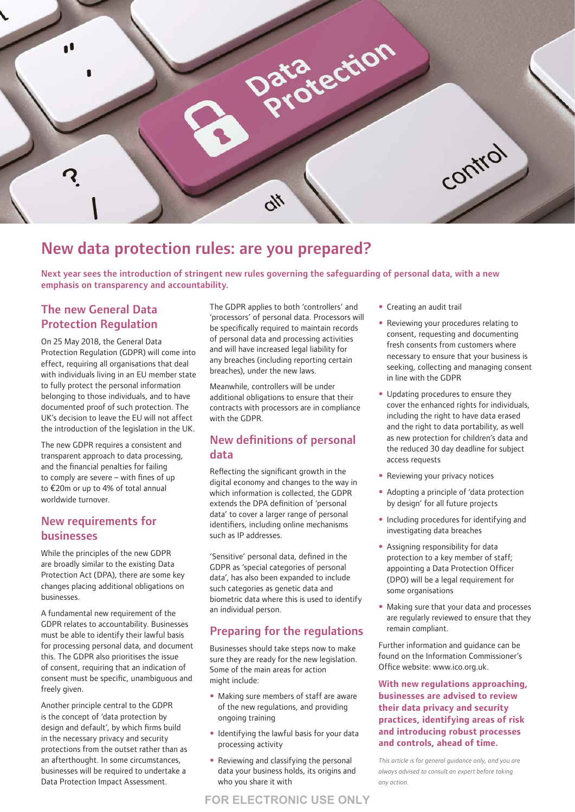

# New data protection rules: are you prepared?

Next year sees the introduction of stringent new rules governing the safeguarding of personal data, with a new emphasis on transparency and accountability.

# The new General Data Protection Regulation

On 25 May 2018, the General Data Protection Regulation (GDPR) will come into effect, requiring all organisations that deal with individuals living in an EU member state to fully protect the personal information belonging to those individuals, and to have documented proof of such protection. The UK's decision to leave the EU will not affect the introduction of the legislation in the UK.

The new GDPR requires a consistent and transparent approach to data processing, and the financial penalties for failing to comply are severe – with fines of up to €20m or up to 4% of total annual worldwide turnover.

## New requirements for businesses

While the principles of the new GDPR are broadly similar to the existing Data Protection Act (DPA), there are some key changes placing additional obligations on businesses.

A fundamental new requirement of the GDPR relates to accountability. Businesses must be able to identify their lawful basis for processing personal data, and document this. The GDPR also prioritises the issue of consent, requiring that an indication of consent must be specific, unambiguous and freely given.

Another principle central to the GDPR is the concept of 'data protection by design and default', by which firms build in the necessary privacy and security protections from the outset rather than as an afterthought. In some circumstances, businesses will be required to undertake a Data Protection Impact Assessment.

The GDPR applies to both 'controllers' and 'processors' of personal data. Processors will be specifically required to maintain records of personal data and processing activities and will have increased legal liability for any breaches (including reporting certain breaches), under the new laws.

Meanwhile, controllers will be under additional obligations to ensure that their contracts with processors are in compliance with the GDPR.

## New definitions of personal data

Reflecting the significant growth in the digital economy and changes to the way in which information is collected, the GDPR extends the DPA definition of 'personal data' to cover a larger range of personal identifiers, including online mechanisms such as IP addresses.

'Sensitive' personal data, defined in the GDPR as 'special categories of personal data', has also been expanded to include such categories as genetic data and biometric data where this is used to identify an individual person.

# Preparing for the regulations

Businesses should take steps now to make sure they are ready for the new legislation. Some of the main areas for action might include:

- Making sure members of staff are aware of the new regulations, and providing ongoing training
- Identifying the lawful basis for your data processing activity
- Reviewing and classifying the personal data your business holds, its origins and who you share it with
- Creating an audit trail
- Reviewing your procedures relating to consent, requesting and documenting fresh consents from customers where necessary to ensure that your business is seeking, collecting and managing consent in line with the GDPR
- Updating procedures to ensure they cover the enhanced rights for individuals, including the right to have data erased and the right to data portability, as well as new protection for children's data and the reduced 30 day deadline for subject access requests
- Reviewing your privacy notices
- Adopting a principle of 'data protection by design' for all future projects
- Including procedures for identifying and investigating data breaches
- Assigning responsibility for data protection to a key member of staff; appointing a Data Protection Officer (DPO) will be a legal requirement for some organisations
- Making sure that your data and processes are regularly reviewed to ensure that they remain compliant.

Further information and guidance can be found on the Information Commissioner's Office website: [www.ico.org.uk](http://www.ico.org.uk).

**With new regulations approaching, businesses are advised to review their data privacy and security practices, identifying areas of risk and introducing robust processes and controls, ahead of time.** 

*This article is for general guidance only, and you are always advised to consult an expert before taking any action.*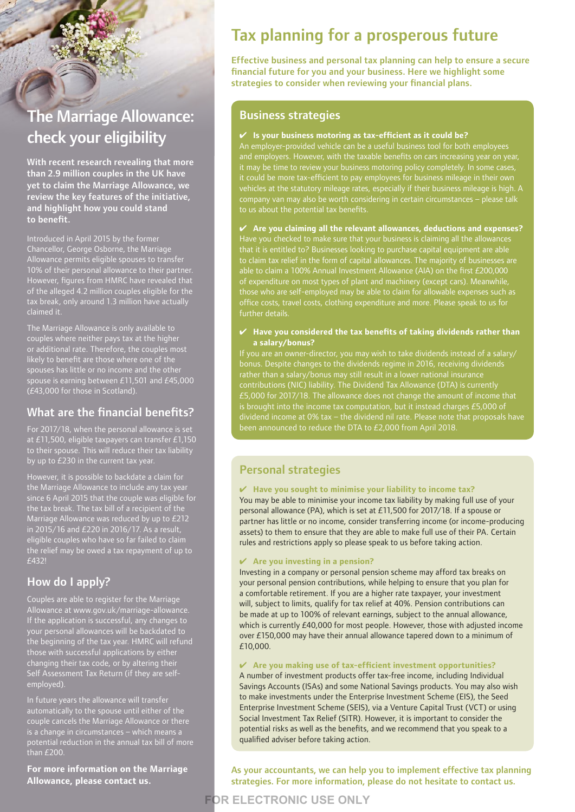# The Marriage Allowance: check your eligibility

With recent research revealing that more than 2.9 million couples in the UK have yet to claim the Marriage Allowance, we review the key features of the initiative, and highlight how you could stand to benefit.

Introduced in April 2015 by the former Chancellor, George Osborne, the Marriage Allowance permits eligible spouses to transfer 10% of their personal allowance to their partner. However, figures from HMRC have revealed that of the alleged 4.2 million couples eligible for the tax break, only around 1.3 million have actually claimed it.

The Marriage Allowance is only available to couples where neither pays tax at the higher or additional rate. Therefore, the couples most likely to benefit are those where one of the spouses has little or no income and the other spouse is earning between £11,501 and £45,000 (£43,000 for those in Scotland).

# What are the financial benefits?

For 2017/18, when the personal allowance is set at £11,500, eligible taxpayers can transfer £1,150 to their spouse. This will reduce their tax liability by up to £230 in the current tax year.

However, it is possible to backdate a claim for the Marriage Allowance to include any tax year since 6 April 2015 that the couple was eligible for the tax break. The tax bill of a recipient of the Marriage Allowance was reduced by up to £212 in 2015/16 and £220 in 2016/17. As a result, eligible couples who have so far failed to claim the relief may be owed a tax repayment of up to £432!

# How do I apply?

Couples are able to register for the Marriage Allowance at [www.gov.uk/marriage-allowance](http://www.gov.uk/marriage-allowance). If the application is successful, any changes to your personal allowances will be backdated to the beginning of the tax year. HMRC will refund those with successful applications by either changing their tax code, or by altering their Self Assessment Tax Return (if they are selfemployed).

In future years the allowance will transfer automatically to the spouse until either of the couple cancels the Marriage Allowance or there is a change in circumstances – which means a potential reduction in the annual tax bill of more than £200.

**For more information on the Marriage Allowance, please contact us.** 

# Tax planning for a prosperous future

Effective business and personal tax planning can help to ensure a secure financial future for you and your business. Here we highlight some strategies to consider when reviewing your financial plans.

### Business strategies

#### ✔ **Is your business motoring as tax-efficient as it could be?**

An employer-provided vehicle can be a useful business tool for both employees and employers. However, with the taxable benefits on cars increasing year on year, it may be time to review your business motoring policy completely. In some cases, it could be more tax-efficient to pay employees for business mileage in their own vehicles at the statutory mileage rates, especially if their business mileage is high. A company van may also be worth considering in certain circumstances – please talk to us about the potential tax benefits.

#### ✔ **Are you claiming all the relevant allowances, deductions and expenses?**

to claim tax relief in the form of capital allowances. The majority of businesses are able to claim a 100% Annual Investment Allowance (AIA) on the first £200,000 of expenditure on most types of plant and machinery (except cars). Meanwhile, those who are self-employed may be able to claim for allowable expenses such as office costs, travel costs, clothing expenditure and more. Please speak to us for further details.

#### ✔ **Have you considered the tax benefits of taking dividends rather than a salary/bonus?**

If you are an owner-director, you may wish to take dividends instead of a salary/ rather than a salary/bonus may still result in a lower national insurance been announced to reduce the DTA to £2,000 from April 2018.

# Personal strategies

#### ✔ **Have you sought to minimise your liability to income tax?**

You may be able to minimise your income tax liability by making full use of your personal allowance (PA), which is set at £11,500 for 2017/18. If a spouse or partner has little or no income, consider transferring income (or income-producing assets) to them to ensure that they are able to make full use of their PA. Certain rules and restrictions apply so please speak to us before taking action.

#### ✔ **Are you investing in a pension?**

**FOR ELECTRONIC USE ONLY**

Investing in a company or personal pension scheme may afford tax breaks on your personal pension contributions, while helping to ensure that you plan for a comfortable retirement. If you are a higher rate taxpayer, your investment will, subject to limits, qualify for tax relief at 40%. Pension contributions can be made at up to 100% of relevant earnings, subject to the annual allowance, which is currently £40,000 for most people. However, those with adjusted income over £150,000 may have their annual allowance tapered down to a minimum of £10,000.

#### ✔ **Are you making use of tax-efficient investment opportunities?**

A number of investment products offer tax-free income, including Individual Savings Accounts (ISAs) and some National Savings products. You may also wish to make investments under the Enterprise Investment Scheme (EIS), the Seed Enterprise Investment Scheme (SEIS), via a Venture Capital Trust (VCT) or using Social Investment Tax Relief (SITR). However, it is important to consider the potential risks as well as the benefits, and we recommend that you speak to a qualified adviser before taking action.

As your accountants, we can help you to implement effective tax planning strategies. For more information, please do not hesitate to contact us.